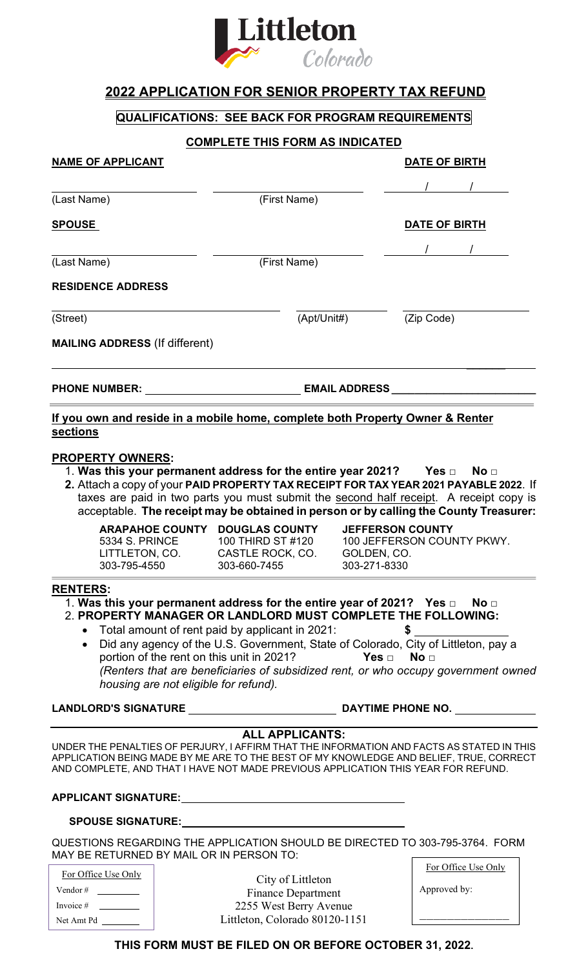

## **2022 APPLICATION FOR SENIOR PROPERTY TAX REFUND**

## **QUALIFICATIONS: SEE BACK FOR PROGRAM REQUIREMENTS**

## **COMPLETE THIS FORM AS INDICATED**

| <b>NAME OF APPLICANT</b>                 |                       |                                                                                                                                                                                                                                |              | <b>DATE OF BIRTH</b>                                                                                                                                                            |
|------------------------------------------|-----------------------|--------------------------------------------------------------------------------------------------------------------------------------------------------------------------------------------------------------------------------|--------------|---------------------------------------------------------------------------------------------------------------------------------------------------------------------------------|
|                                          |                       |                                                                                                                                                                                                                                |              |                                                                                                                                                                                 |
| (Last Name)                              |                       | (First Name)                                                                                                                                                                                                                   |              |                                                                                                                                                                                 |
| <u>SPOUSE</u>                            |                       |                                                                                                                                                                                                                                |              | DATE OF BIRTH                                                                                                                                                                   |
|                                          |                       |                                                                                                                                                                                                                                |              |                                                                                                                                                                                 |
| (First Name)<br>(Last Name)              |                       |                                                                                                                                                                                                                                |              |                                                                                                                                                                                 |
| <b>RESIDENCE ADDRESS</b>                 |                       |                                                                                                                                                                                                                                |              |                                                                                                                                                                                 |
| (Street)                                 |                       | (Apt/Unit#)                                                                                                                                                                                                                    |              | (Zip Code)                                                                                                                                                                      |
| <b>MAILING ADDRESS (If different)</b>    |                       |                                                                                                                                                                                                                                |              |                                                                                                                                                                                 |
| <b>PHONE NUMBER:</b>                     |                       | <b>EMAIL ADDRESS</b>                                                                                                                                                                                                           |              |                                                                                                                                                                                 |
|                                          |                       | If you own and reside in a mobile home, complete both Property Owner & Renter                                                                                                                                                  |              |                                                                                                                                                                                 |
| sections                                 |                       |                                                                                                                                                                                                                                |              |                                                                                                                                                                                 |
| <b>PROPERTY OWNERS:</b>                  |                       |                                                                                                                                                                                                                                |              |                                                                                                                                                                                 |
|                                          |                       | 1. Was this your permanent address for the entire year 2021? Yes $\Box$ No $\Box$                                                                                                                                              |              |                                                                                                                                                                                 |
|                                          |                       |                                                                                                                                                                                                                                |              | 2. Attach a copy of your PAID PROPERTY TAX RECEIPT FOR TAX YEAR 2021 PAYABLE 2022. If                                                                                           |
|                                          |                       |                                                                                                                                                                                                                                |              | taxes are paid in two parts you must submit the second half receipt. A receipt copy is<br>acceptable. The receipt may be obtained in person or by calling the County Treasurer: |
|                                          |                       |                                                                                                                                                                                                                                |              |                                                                                                                                                                                 |
|                                          | <b>5334 S. PRINCE</b> | ARAPAHOE COUNTY DOUGLAS COUNTY<br>100 THIRD ST #120                                                                                                                                                                            |              | <b>JEFFERSON COUNTY</b><br>100 JEFFERSON COUNTY PKWY.                                                                                                                           |
|                                          |                       | LITTLETON, CO. CASTLE ROCK, CO. GOLDEN, CO.                                                                                                                                                                                    |              |                                                                                                                                                                                 |
| 303-795-4550                             |                       | 303-660-7455                                                                                                                                                                                                                   | 303-271-8330 |                                                                                                                                                                                 |
| <b>RENTERS:</b>                          |                       |                                                                                                                                                                                                                                |              |                                                                                                                                                                                 |
|                                          |                       | 1. Was this your permanent address for the entire year of 2021? Yes $\Box$ No $\Box$<br>2. PROPERTY MANAGER OR LANDLORD MUST COMPLETE THE FOLLOWING:                                                                           |              |                                                                                                                                                                                 |
|                                          |                       | Total amount of rent paid by applicant in 2021:                                                                                                                                                                                |              |                                                                                                                                                                                 |
|                                          |                       |                                                                                                                                                                                                                                |              | $$\overbrace{\hspace{2.5cm}}$$<br>Did any agency of the U.S. Government, State of Colorado, City of Littleton, pay a                                                            |
|                                          |                       | portion of the rent on this unit in 2021? Yes $\Box$ No $\Box$                                                                                                                                                                 |              |                                                                                                                                                                                 |
|                                          |                       |                                                                                                                                                                                                                                |              | (Renters that are beneficiaries of subsidized rent, or who occupy government owned                                                                                              |
|                                          |                       | housing are not eligible for refund).                                                                                                                                                                                          |              |                                                                                                                                                                                 |
|                                          |                       |                                                                                                                                                                                                                                |              |                                                                                                                                                                                 |
|                                          |                       | <b>ALL APPLICANTS:</b>                                                                                                                                                                                                         |              |                                                                                                                                                                                 |
|                                          |                       |                                                                                                                                                                                                                                |              | UNDER THE PENALTIES OF PERJURY, I AFFIRM THAT THE INFORMATION AND FACTS AS STATED IN THIS                                                                                       |
|                                          |                       |                                                                                                                                                                                                                                |              | APPLICATION BEING MADE BY ME ARE TO THE BEST OF MY KNOWLEDGE AND BELIEF, TRUE, CORRECT<br>AND COMPLETE, AND THAT I HAVE NOT MADE PREVIOUS APPLICATION THIS YEAR FOR REFUND.     |
|                                          |                       | APPLICANT SIGNATURE: And the contract of the contract of the contract of the contract of the contract of the contract of the contract of the contract of the contract of the contract of the contract of the contract of the c |              |                                                                                                                                                                                 |
|                                          |                       |                                                                                                                                                                                                                                |              |                                                                                                                                                                                 |
| MAY BE RETURNED BY MAIL OR IN PERSON TO: |                       |                                                                                                                                                                                                                                |              | QUESTIONS REGARDING THE APPLICATION SHOULD BE DIRECTED TO 303-795-3764. FORM                                                                                                    |
|                                          |                       |                                                                                                                                                                                                                                |              | For Office Use Only                                                                                                                                                             |
| For Office Use Only                      |                       | City of Littleton                                                                                                                                                                                                              |              |                                                                                                                                                                                 |
| Vendor # $\qquad \qquad$                 |                       | <b>Finance Department</b>                                                                                                                                                                                                      |              | Approved by:                                                                                                                                                                    |

2255 West Berry Avenue Littleton, Colorado 80120-1151

\_\_\_\_\_\_\_\_\_\_\_\_\_

Invoice # Net Amt Pd